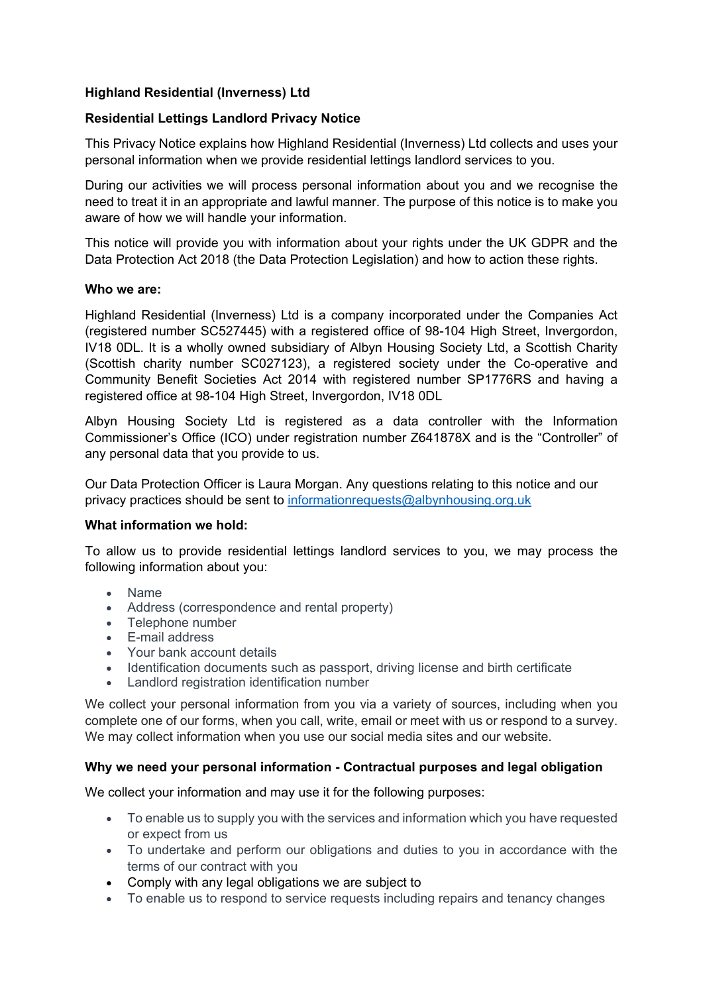# **Highland Residential (Inverness) Ltd**

## **Residential Lettings Landlord Privacy Notice**

This Privacy Notice explains how Highland Residential (Inverness) Ltd collects and uses your personal information when we provide residential lettings landlord services to you.

During our activities we will process personal information about you and we recognise the need to treat it in an appropriate and lawful manner. The purpose of this notice is to make you aware of how we will handle your information.

This notice will provide you with information about your rights under the UK GDPR and the Data Protection Act 2018 (the Data Protection Legislation) and how to action these rights.

#### **Who we are:**

Highland Residential (Inverness) Ltd is a company incorporated under the Companies Act (registered number SC527445) with a registered office of 98-104 High Street, Invergordon, IV18 0DL. It is a wholly owned subsidiary of Albyn Housing Society Ltd, a Scottish Charity (Scottish charity number SC027123), a registered society under the Co-operative and Community Benefit Societies Act 2014 with registered number SP1776RS and having a registered office at 98-104 High Street, Invergordon, IV18 0DL

Albyn Housing Society Ltd is registered as a data controller with the Information Commissioner's Office (ICO) under registration number Z641878X and is the "Controller" of any personal data that you provide to us.

Our Data Protection Officer is Laura Morgan. Any questions relating to this notice and our privacy practices should be sent to [informationrequests@albynhousing.org.uk](mailto:informationrequests@albynhousing.org.uk)

### **What information we hold:**

To allow us to provide residential lettings landlord services to you, we may process the following information about you:

- Name
- Address (correspondence and rental property)
- Telephone number
- E-mail address
- Your bank account details
- Identification documents such as passport, driving license and birth certificate
- Landlord registration identification number

We collect your personal information from you via a variety of sources, including when you complete one of our forms, when you call, write, email or meet with us or respond to a survey. We may collect information when you use our social media sites and our website.

### **Why we need your personal information - Contractual purposes and legal obligation**

We collect your information and may use it for the following purposes:

- To enable us to supply you with the services and information which you have requested or expect from us
- To undertake and perform our obligations and duties to you in accordance with the terms of our contract with you
- Comply with any legal obligations we are subject to
- To enable us to respond to service requests including repairs and tenancy changes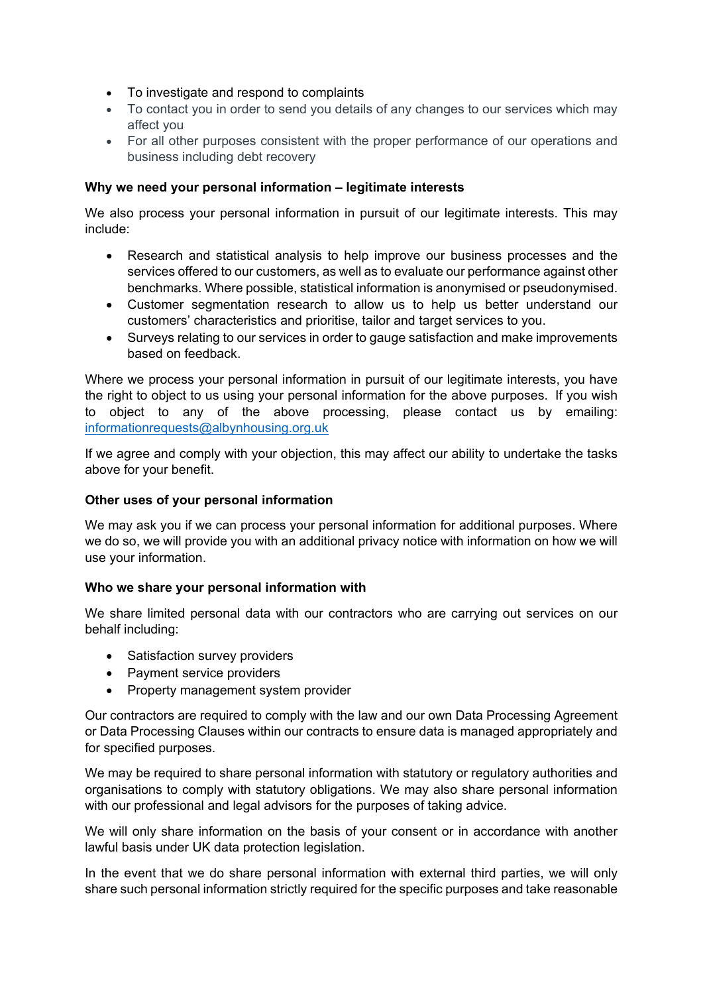- To investigate and respond to complaints
- To contact you in order to send you details of any changes to our services which may affect you
- For all other purposes consistent with the proper performance of our operations and business including debt recovery

## **Why we need your personal information – legitimate interests**

We also process your personal information in pursuit of our legitimate interests. This may include:

- Research and statistical analysis to help improve our business processes and the services offered to our customers, as well as to evaluate our performance against other benchmarks. Where possible, statistical information is anonymised or pseudonymised.
- Customer segmentation research to allow us to help us better understand our customers' characteristics and prioritise, tailor and target services to you.
- Surveys relating to our services in order to gauge satisfaction and make improvements based on feedback.

Where we process your personal information in pursuit of our legitimate interests, you have the right to object to us using your personal information for the above purposes. If you wish to object to any of the above processing, please contact us by emailing: [informationrequests@albynhousing.org.uk](mailto:informationrequests@albynhousing.org.uk)

If we agree and comply with your objection, this may affect our ability to undertake the tasks above for your benefit.

### **Other uses of your personal information**

We may ask you if we can process your personal information for additional purposes. Where we do so, we will provide you with an additional privacy notice with information on how we will use your information.

### **Who we share your personal information with**

We share limited personal data with our contractors who are carrying out services on our behalf including:

- Satisfaction survey providers
- Payment service providers
- Property management system provider

Our contractors are required to comply with the law and our own Data Processing Agreement or Data Processing Clauses within our contracts to ensure data is managed appropriately and for specified purposes.

We may be required to share personal information with statutory or regulatory authorities and organisations to comply with statutory obligations. We may also share personal information with our professional and legal advisors for the purposes of taking advice.

We will only share information on the basis of your consent or in accordance with another lawful basis under UK data protection legislation.

In the event that we do share personal information with external third parties, we will only share such personal information strictly required for the specific purposes and take reasonable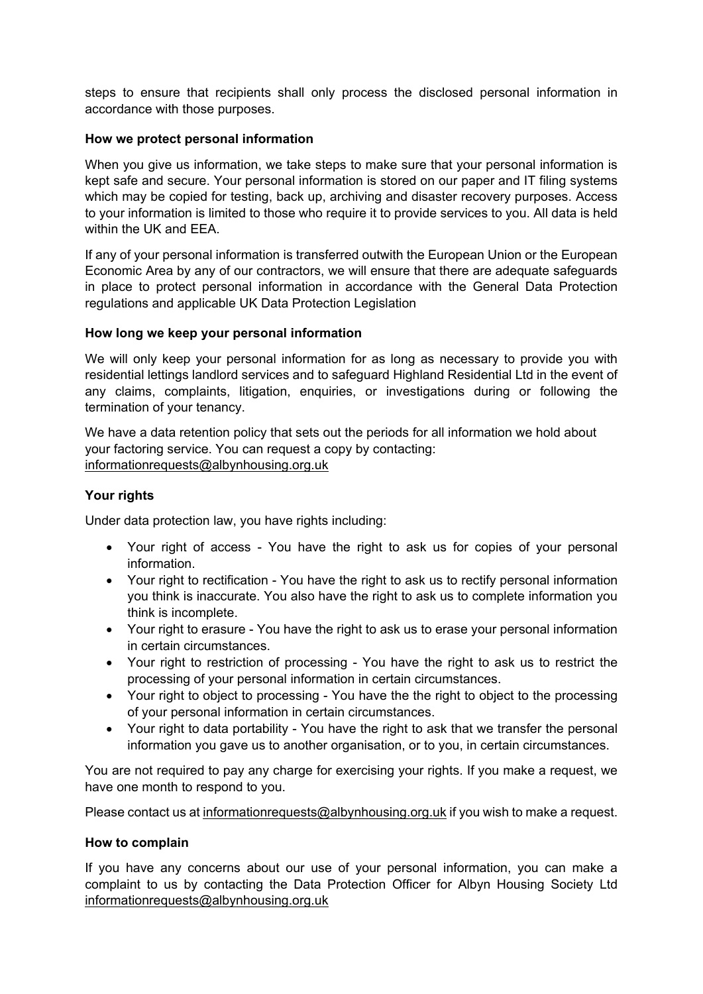steps to ensure that recipients shall only process the disclosed personal information in accordance with those purposes.

### **How we protect personal information**

When you give us information, we take steps to make sure that your personal information is kept safe and secure. Your personal information is stored on our paper and IT filing systems which may be copied for testing, back up, archiving and disaster recovery purposes. Access to your information is limited to those who require it to provide services to you. All data is held within the UK and EEA.

If any of your personal information is transferred outwith the European Union or the European Economic Area by any of our contractors, we will ensure that there are adequate safeguards in place to protect personal information in accordance with the General Data Protection regulations and applicable UK Data Protection Legislation

### **How long we keep your personal information**

We will only keep your personal information for as long as necessary to provide you with residential lettings landlord services and to safeguard Highland Residential Ltd in the event of any claims, complaints, litigation, enquiries, or investigations during or following the termination of your tenancy.

We have a data retention policy that sets out the periods for all information we hold about your factoring service. You can request a copy by contacting: [informationrequests@albynhousing.org.uk](mailto:informationrequests@albynhousing.org.uk)

# **Your rights**

Under data protection law, you have rights including:

- Your right of access You have the right to ask us for copies of your personal information.
- Your right to rectification You have the right to ask us to rectify personal information you think is inaccurate. You also have the right to ask us to complete information you think is incomplete.
- Your right to erasure You have the right to ask us to erase your personal information in certain circumstances.
- Your right to restriction of processing You have the right to ask us to restrict the processing of your personal information in certain circumstances.
- Your right to object to processing You have the the right to object to the processing of your personal information in certain circumstances.
- Your right to data portability You have the right to ask that we transfer the personal information you gave us to another organisation, or to you, in certain circumstances.

You are not required to pay any charge for exercising your rights. If you make a request, we have one month to respond to you.

Please contact us at [informationrequests@albynhousing.org.uk](mailto:informationrequests@albynhousing.org.uk) if you wish to make a request.

### **How to complain**

If you have any concerns about our use of your personal information, you can make a complaint to us by contacting the Data Protection Officer for Albyn Housing Society Ltd [informationrequests@albynhousing.org.uk](mailto:informationrequests@albynhousing.org.uk)